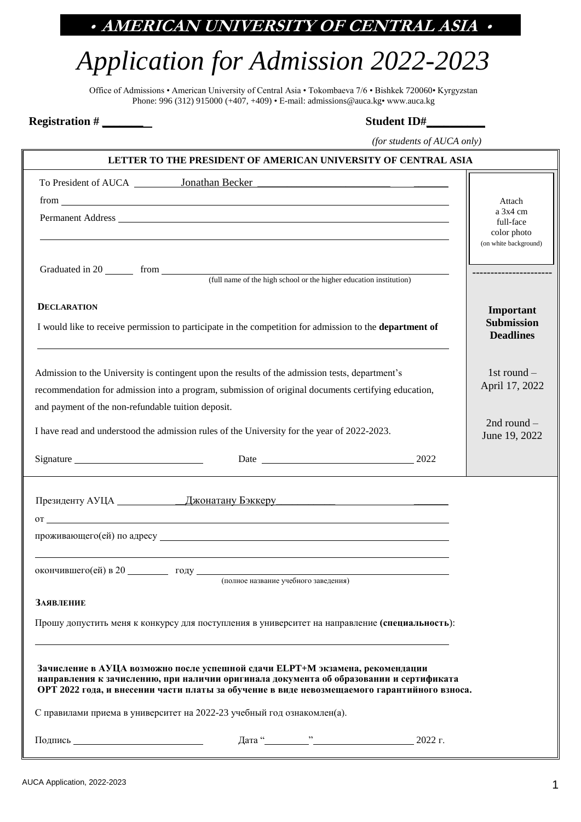# *Application for Admission 2022-2023*

Office of Admissions • American University of Central Asia • Tokombaeva 7/6 • Bishkek 720060• Kyrgyzstan Phone: 996 (312) 915000 (+407, +409) • E-mail[: admissions@auca.kg•](mailto:admissions@auca.kg) www.auca.kg

 **Registration # \_\_\_\_\_\_\_ Student ID#\_\_\_\_\_\_\_\_\_\_**

 *(for students of AUCA only)*

|                                                    | LETTER TO THE PRESIDENT OF AMERICAN UNIVERSITY OF CENTRAL ASIA                                                                                                                                                                                                          |           |                                       |
|----------------------------------------------------|-------------------------------------------------------------------------------------------------------------------------------------------------------------------------------------------------------------------------------------------------------------------------|-----------|---------------------------------------|
|                                                    |                                                                                                                                                                                                                                                                         |           |                                       |
|                                                    |                                                                                                                                                                                                                                                                         |           | Attach                                |
|                                                    | Permanent Address <u>Communications</u> and the contract of the contract of the contract of the contract of the contract of the contract of the contract of the contract of the contract of the contract of the contract of the con                                     |           | $a$ 3x4 cm<br>full-face               |
|                                                    |                                                                                                                                                                                                                                                                         |           | color photo<br>(on white background)  |
|                                                    |                                                                                                                                                                                                                                                                         |           |                                       |
|                                                    |                                                                                                                                                                                                                                                                         |           |                                       |
|                                                    |                                                                                                                                                                                                                                                                         |           |                                       |
| <b>DECLARATION</b>                                 |                                                                                                                                                                                                                                                                         |           | Important                             |
|                                                    | I would like to receive permission to participate in the competition for admission to the department of                                                                                                                                                                 |           | <b>Submission</b><br><b>Deadlines</b> |
|                                                    |                                                                                                                                                                                                                                                                         |           |                                       |
|                                                    | Admission to the University is contingent upon the results of the admission tests, department's                                                                                                                                                                         |           | 1st round $-$                         |
|                                                    | recommendation for admission into a program, submission of original documents certifying education,                                                                                                                                                                     |           | April 17, 2022                        |
| and payment of the non-refundable tuition deposit. |                                                                                                                                                                                                                                                                         |           |                                       |
|                                                    | I have read and understood the admission rules of the University for the year of 2022-2023.                                                                                                                                                                             |           | 2nd round $-$                         |
|                                                    |                                                                                                                                                                                                                                                                         |           | June 19, 2022                         |
|                                                    |                                                                                                                                                                                                                                                                         | Date 2022 |                                       |
|                                                    |                                                                                                                                                                                                                                                                         |           |                                       |
|                                                    | Президенту АУЦА Джонатану Бэккеру Президенту АУЦА                                                                                                                                                                                                                       |           |                                       |
|                                                    | $\sigma$ $\sim$                                                                                                                                                                                                                                                         |           |                                       |
|                                                    |                                                                                                                                                                                                                                                                         |           |                                       |
|                                                    |                                                                                                                                                                                                                                                                         |           |                                       |
|                                                    | окончившего (ей) в 20 поду поду полное название учебного заведения)                                                                                                                                                                                                     |           |                                       |
| ЗАЯВЛЕНИЕ                                          |                                                                                                                                                                                                                                                                         |           |                                       |
|                                                    | Прошу допустить меня к конкурсу для поступления в университет на направление (специальность):                                                                                                                                                                           |           |                                       |
|                                                    |                                                                                                                                                                                                                                                                         |           |                                       |
|                                                    |                                                                                                                                                                                                                                                                         |           |                                       |
|                                                    | Зачисление в АУЦА возможно после успешной сдачи ELPT+М экзамена, рекомендации<br>направления к зачислению, при наличии оригинала документа об образовании и сертификата<br>ОРТ 2022 года, и внесении части платы за обучение в виде невозмещаемого гарантийного взноса. |           |                                       |
|                                                    | С правилами приема в университет на 2022-23 учебный год ознакомлен(а).                                                                                                                                                                                                  |           |                                       |
|                                                    |                                                                                                                                                                                                                                                                         |           |                                       |
| Подпись Подпись                                    |                                                                                                                                                                                                                                                                         |           |                                       |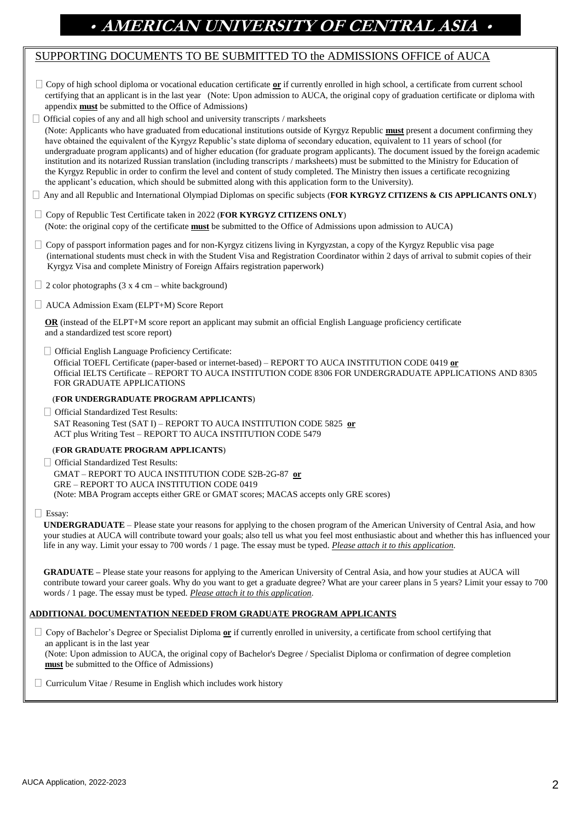### SUPPORTING DOCUMENTS TO BE SUBMITTED TO the ADMISSIONS OFFICE of AUCA

| $\Box$ Copy of high school diploma or vocational education certificate or if currently enrolled in high school, a certificate from current school |
|---------------------------------------------------------------------------------------------------------------------------------------------------|
| certifying that an applicant is in the last year (Note: Upon admission to AUCA, the original copy of graduation certificate or diploma with       |
| appendix <b>must</b> be submitted to the Office of Admissions)                                                                                    |

 $\Box$  Official copies of any and all high school and university transcripts / marksheets (Note: Applicants who have graduated from educational institutions outside of Kyrgyz Republic **must** present a document confirming they have obtained the equivalent of the Kyrgyz Republic's state diploma of secondary education, equivalent to 11 years of school (for undergraduate program applicants) and of higher education (for graduate program applicants). The document issued by the foreign academic institution and its notarized Russian translation (including transcripts / marksheets) must be submitted to the Ministry for Education of the Kyrgyz Republic in order to confirm the level and content of study completed. The Ministry then issues a certificate recognizing the applicant's education, which should be submitted along with this application form to the University).

Any and all Republic and International Olympiad Diplomas on specific subjects (**FOR KYRGYZ CITIZENS & CIS APPLICANTS ONLY**)

- Copy of Republic Test Certificate taken in 2022 (**FOR KYRGYZ CITIZENS ONLY**) (Note: the original copy of the certificate **must** be submitted to the Office of Admissions upon admission to AUCA)
- $\Box$  Copy of passport information pages and for non-Kyrgyz citizens living in Kyrgyzstan, a copy of the Kyrgyz Republic visa page (international students must check in with the Student Visa and Registration Coordinator within 2 days of arrival to submit copies of their Kyrgyz Visa and complete Ministry of Foreign Affairs registration paperwork)
- $\Box$  2 color photographs (3 x 4 cm white background)
- □ AUCA Admission Exam (ELPT+M) Score Report

 **OR** (instead of the ELPT+M score report an applicant may submit an official English Language proficiency certificate and a standardized test score report)

Official English Language Proficiency Certificate:

 Official TOEFL Certificate (paper-based or internet-based) – REPORT TO AUCA INSTITUTION CODE 0419 **or** Official IELTS Certificate – REPORT TO AUCA INSTITUTION CODE 8306 FOR UNDERGRADUATE APPLICATIONS AND 8305 FOR GRADUATE APPLICATIONS

#### (**FOR UNDERGRADUATE PROGRAM APPLICANTS**)

□ Official Standardized Test Results: SAT Reasoning Test (SAT I) – REPORT TO AUCA INSTITUTION CODE 5825 **or** ACT plus Writing Test – REPORT TO AUCA INSTITUTION CODE 5479

#### (**FOR GRADUATE PROGRAM APPLICANTS**)

□ Official Standardized Test Results: GMAT – REPORT TO AUCA INSTITUTION CODE S2B-2G-87 **or** GRE – REPORT TO AUCA INSTITUTION CODE 0419 (Note: MBA Program accepts either GRE or GMAT scores; MACAS accepts only GRE scores)

#### □ Essay:

**UNDERGRADUATE** – Please state your reasons for applying to the chosen program of the American University of Central Asia, and how your studies at AUCA will contribute toward your goals; also tell us what you feel most enthusiastic about and whether this has influenced your life in any way. Limit your essay to 700 words / 1 page. The essay must be typed. *Please attach it to this application.*

**GRADUATE –** Please state your reasons for applying to the American University of Central Asia, and how your studies at AUCA will contribute toward your career goals. Why do you want to get a graduate degree? What are your career plans in 5 years? Limit your essay to 700 words / 1 page. The essay must be typed. *Please attach it to this application.*

#### **ADDITIONAL DOCUMENTATION NEEDED FROM GRADUATE PROGRAM APPLICANTS**

 $\Box$  Copy of Bachelor's Degree or Specialist Diploma  $or$  if currently enrolled in university, a certificate from school certifying that</u> an applicant is in the last year (Note: Upon admission to AUCA, the original copy of Bachelor's Degree / Specialist Diploma or confirmation of degree completion **must** be submitted to the Office of Admissions)

 $\Box$  Curriculum Vitae / Resume in English which includes work history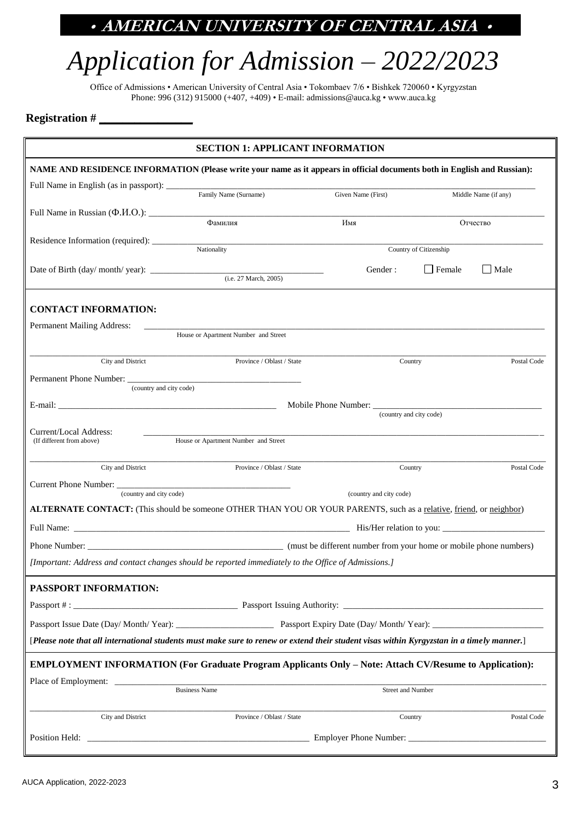# *Application for Admission – 2022/2023*

Office of Admissions • American University of Central Asia • Tokombaev 7/6 • Bishkek 720060 • Kyrgyzstan Phone: 996 (312) 915000 (+407, +409) • E-mail[: admissions@auca.kg](mailto:admissions@auca.kg) • www.auca.kg

### **Registration # \_\_\_\_\_\_\_\_\_\_\_\_\_\_\_\_**

| <b>SECTION 1: APPLICANT INFORMATION</b>                                                                                                                                   |                                                                                                                                           |                          |                         |                      |
|---------------------------------------------------------------------------------------------------------------------------------------------------------------------------|-------------------------------------------------------------------------------------------------------------------------------------------|--------------------------|-------------------------|----------------------|
| NAME AND RESIDENCE INFORMATION (Please write your name as it appears in official documents both in English and Russian):                                                  |                                                                                                                                           |                          |                         |                      |
|                                                                                                                                                                           |                                                                                                                                           |                          |                         |                      |
|                                                                                                                                                                           |                                                                                                                                           | Given Name (First)       |                         | Middle Name (if any) |
|                                                                                                                                                                           | Фамилия                                                                                                                                   | Имя                      |                         | Отчество             |
|                                                                                                                                                                           |                                                                                                                                           |                          |                         |                      |
|                                                                                                                                                                           | Nationality                                                                                                                               |                          | Country of Citizenship  |                      |
|                                                                                                                                                                           |                                                                                                                                           | Gender:                  | <b>Female</b>           | Male                 |
|                                                                                                                                                                           |                                                                                                                                           |                          |                         |                      |
| <b>CONTACT INFORMATION:</b>                                                                                                                                               |                                                                                                                                           |                          |                         |                      |
|                                                                                                                                                                           |                                                                                                                                           |                          |                         |                      |
| Permanent Mailing Address:                                                                                                                                                | House or Apartment Number and Street                                                                                                      |                          |                         |                      |
|                                                                                                                                                                           |                                                                                                                                           |                          |                         |                      |
| City and District                                                                                                                                                         | Province / Oblast / State                                                                                                                 |                          | Country                 | Postal Code          |
| (country and city code)                                                                                                                                                   |                                                                                                                                           |                          |                         |                      |
|                                                                                                                                                                           |                                                                                                                                           |                          |                         |                      |
|                                                                                                                                                                           |                                                                                                                                           |                          | (country and city code) |                      |
| Current/Local Address:                                                                                                                                                    | House or Apartment Number and Street                                                                                                      |                          |                         |                      |
| (If different from above)                                                                                                                                                 |                                                                                                                                           |                          |                         |                      |
| City and District                                                                                                                                                         | Province / Oblast / State                                                                                                                 |                          | Country                 | Postal Code          |
|                                                                                                                                                                           |                                                                                                                                           |                          |                         |                      |
| (country and city code)<br>(country and city code)<br>ALTERNATE CONTACT: (This should be someone OTHER THAN YOU OR YOUR PARENTS, such as a relative, friend, or neighbor) |                                                                                                                                           |                          |                         |                      |
|                                                                                                                                                                           |                                                                                                                                           |                          |                         |                      |
|                                                                                                                                                                           |                                                                                                                                           |                          |                         |                      |
|                                                                                                                                                                           |                                                                                                                                           |                          |                         |                      |
| [Important: Address and contact changes should be reported immediately to the Office of Admissions.]                                                                      |                                                                                                                                           |                          |                         |                      |
| PASSPORT INFORMATION:                                                                                                                                                     |                                                                                                                                           |                          |                         |                      |
|                                                                                                                                                                           |                                                                                                                                           |                          |                         |                      |
| Passport Issue Date (Day/ Month/ Year): Passport Expiry Date (Day/ Month/ Year):                                                                                          |                                                                                                                                           |                          |                         |                      |
|                                                                                                                                                                           | [Please note that all international students must make sure to renew or extend their student visas within Kyrgyzstan in a timely manner.] |                          |                         |                      |
|                                                                                                                                                                           |                                                                                                                                           |                          |                         |                      |
|                                                                                                                                                                           | <b>EMPLOYMENT INFORMATION (For Graduate Program Applicants Only – Note: Attach CV/Resume to Application):</b>                             |                          |                         |                      |
|                                                                                                                                                                           | <b>Business Name</b>                                                                                                                      | <b>Street and Number</b> |                         |                      |
|                                                                                                                                                                           |                                                                                                                                           |                          |                         |                      |
| City and District                                                                                                                                                         | Province / Oblast / State                                                                                                                 |                          | Country                 | Postal Code          |
|                                                                                                                                                                           |                                                                                                                                           |                          |                         |                      |
|                                                                                                                                                                           |                                                                                                                                           |                          |                         |                      |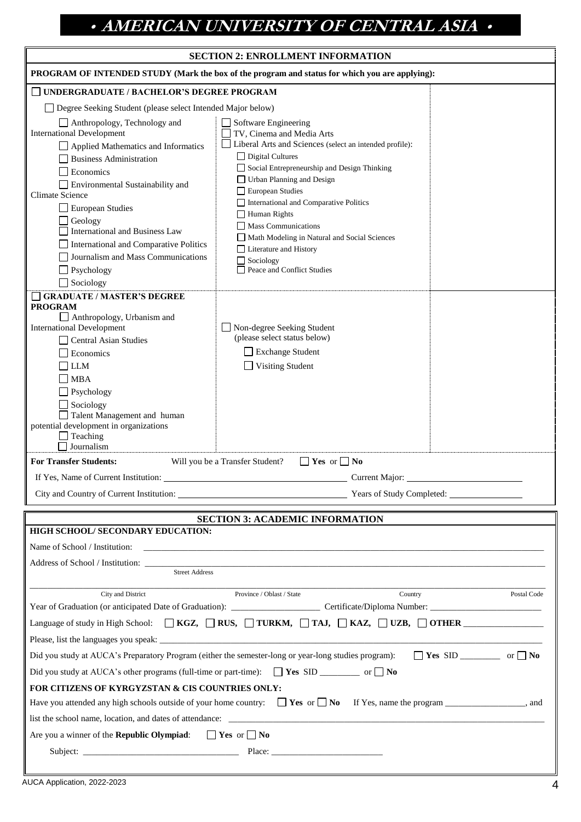|  |  | <b>SECTION 2: ENROLLMENT INFORMATION</b> |
|--|--|------------------------------------------|
|--|--|------------------------------------------|

| <b>SECTION 2: ENROLLMENT INFORMATION</b>                                                                                                                                                                                                                                                                                                                                                                       |                                                                                                                                                                                                                                                                                                                                                                                                                                                                      |  |  |  |
|----------------------------------------------------------------------------------------------------------------------------------------------------------------------------------------------------------------------------------------------------------------------------------------------------------------------------------------------------------------------------------------------------------------|----------------------------------------------------------------------------------------------------------------------------------------------------------------------------------------------------------------------------------------------------------------------------------------------------------------------------------------------------------------------------------------------------------------------------------------------------------------------|--|--|--|
| PROGRAM OF INTENDED STUDY (Mark the box of the program and status for which you are applying):                                                                                                                                                                                                                                                                                                                 |                                                                                                                                                                                                                                                                                                                                                                                                                                                                      |  |  |  |
|                                                                                                                                                                                                                                                                                                                                                                                                                | UNDERGRADUATE / BACHELOR'S DEGREE PROGRAM                                                                                                                                                                                                                                                                                                                                                                                                                            |  |  |  |
| □ Degree Seeking Student (please select Intended Major below)                                                                                                                                                                                                                                                                                                                                                  |                                                                                                                                                                                                                                                                                                                                                                                                                                                                      |  |  |  |
| Anthropology, Technology and<br><b>International Development</b><br>$\Box$ Applied Mathematics and Informatics<br><b>Business Administration</b><br>Economics<br>Environmental Sustainability and<br><b>Climate Science</b><br>European Studies<br>Geology<br><b>International and Business Law</b><br>International and Comparative Politics<br>Journalism and Mass Communications<br>Psychology<br>Sociology | $\Box$ Software Engineering<br>TV, Cinema and Media Arts<br>Liberal Arts and Sciences (select an intended profile):<br>$\Box$ Digital Cultures<br>Social Entrepreneurship and Design Thinking<br>Urban Planning and Design<br>European Studies<br>International and Comparative Politics<br>Human Rights<br>$\Box$ Mass Communications<br>Math Modeling in Natural and Social Sciences<br>□ Literature and History<br>$\Box$ Sociology<br>Peace and Conflict Studies |  |  |  |
| <b>GRADUATE / MASTER'S DEGREE</b><br><b>PROGRAM</b><br>Anthropology, Urbanism and<br><b>International Development</b><br><b>Central Asian Studies</b><br>Economics<br><b>LLM</b><br>$\Box$ MBA<br>$\Box$ Psychology<br>Sociology<br>Talent Management and human<br>potential development in organizations<br>$\Box$ Teaching<br>Journalism                                                                     | □ Non-degree Seeking Student<br>(please select status below)<br><b>Exchange Student</b><br>Visiting Student                                                                                                                                                                                                                                                                                                                                                          |  |  |  |
| <b>For Transfer Students:</b>                                                                                                                                                                                                                                                                                                                                                                                  | $\Box$ Yes or $\Box$ No<br>Will you be a Transfer Student?                                                                                                                                                                                                                                                                                                                                                                                                           |  |  |  |
| If Yes, Name of Current Institution:                                                                                                                                                                                                                                                                                                                                                                           | Current Major:                                                                                                                                                                                                                                                                                                                                                                                                                                                       |  |  |  |
|                                                                                                                                                                                                                                                                                                                                                                                                                | City and Country of Current Institution: Vears of Study Completed:                                                                                                                                                                                                                                                                                                                                                                                                   |  |  |  |
| <b>SECTION 3: ACADEMIC INFORMATION</b><br>HIGH SCHOOL/ SECONDARY EDUCATION:<br>Name of School / Institution:<br><b>Street Address</b>                                                                                                                                                                                                                                                                          |                                                                                                                                                                                                                                                                                                                                                                                                                                                                      |  |  |  |
| City and District<br>Country<br>Province / Oblast / State<br>Postal Code<br>Language of study in High School: $\Box$ KGZ, $\Box$ RUS, $\Box$ TURKM, $\Box$ TAJ, $\Box$ KAZ, $\Box$ UZB, $\Box$ OTHER                                                                                                                                                                                                           |                                                                                                                                                                                                                                                                                                                                                                                                                                                                      |  |  |  |
| Did you study at AUCA's other programs (full-time or part-time): $\Box$ Yes SID ___________ or $\Box$ No                                                                                                                                                                                                                                                                                                       | Did you study at AUCA's Preparatory Program (either the semester-long or year-long studies program):                                                                                                                                                                                                                                                                                                                                                                 |  |  |  |
| FOR CITIZENS OF KYRGYZSTAN & CIS COUNTRIES ONLY:<br>Have you attended any high schools outside of your home country: $\Box$ Yes or $\Box$ No If Yes, name the program _______________, and<br>$\Box$ Yes or $\Box$ No<br>Are you a winner of the Republic Olympiad:                                                                                                                                            |                                                                                                                                                                                                                                                                                                                                                                                                                                                                      |  |  |  |
|                                                                                                                                                                                                                                                                                                                                                                                                                | Subject: Place: Place: Place: Place: Place: Place: Place: Place: Place: Place: Place: Place: Place: Place: Place: Place: Place: Place: Place: Place: Place: Place: Place: Place: Place: Place: Place: Place: Place: Place: Pla                                                                                                                                                                                                                                       |  |  |  |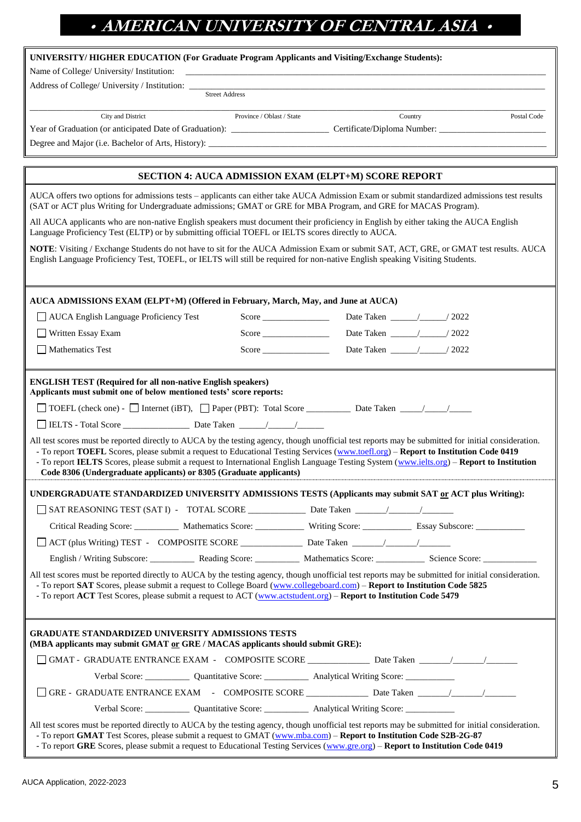| UNIVERSITY/HIGHER EDUCATION (For Graduate Program Applicants and Visiting/Exchange Students): |  |  |  |
|-----------------------------------------------------------------------------------------------|--|--|--|
|                                                                                               |  |  |  |

Street Address

Name of College/ University/ Institution:

Address of College/ University / Institution:

\_\_\_\_\_\_\_\_\_\_\_\_\_\_\_\_\_\_\_\_\_\_\_\_\_\_\_\_\_\_\_\_\_\_\_\_\_\_\_\_\_\_\_\_\_\_\_\_\_\_\_\_\_\_\_\_\_\_\_\_\_\_\_\_\_\_\_\_\_\_\_\_\_\_\_\_\_\_\_\_\_\_\_\_\_\_\_\_\_\_\_\_\_\_\_\_\_\_\_\_\_\_\_\_\_\_\_\_\_\_\_\_\_\_\_\_ City and District Province / Oblast / State Country Postal Code

Year of Graduation (or anticipated Date of Graduation):\_\_\_\_\_\_\_\_\_\_\_\_\_\_\_\_\_\_\_\_\_\_Certificate/Diploma Number: \_\_\_\_\_\_\_\_\_\_\_\_\_\_\_\_\_\_\_\_\_\_\_\_

Degree and Major (i.e. Bachelor of Arts, History):

#### **SECTION 4: AUCA ADMISSION EXAM (ELPT+M) SCORE REPORT**

AUCA offers two options for admissions tests – applicants can either take AUCA Admission Exam or submit standardized admissions test results (SAT or ACT plus Writing for Undergraduate admissions; GMAT or GRE for MBA Program, and GRE for MACAS Program).

All AUCA applicants who are non-native English speakers must document their proficiency in English by either taking the AUCA English Language Proficiency Test (ELTP) or by submitting official TOEFL or IELTS scores directly to AUCA.

**NOTE**: Visiting / Exchange Students do not have to sit for the AUCA Admission Exam or submit SAT, ACT, GRE, or GMAT test results. AUCA English Language Proficiency Test, TOEFL, or IELTS will still be required for non-native English speaking Visiting Students.

| AUCA ADMISSIONS EXAM (ELPT+M) (Offered in February, March, May, and June at AUCA)                                                                                                                                                                                                                                                                                                                                                                                                                              |  |  |  |  |
|----------------------------------------------------------------------------------------------------------------------------------------------------------------------------------------------------------------------------------------------------------------------------------------------------------------------------------------------------------------------------------------------------------------------------------------------------------------------------------------------------------------|--|--|--|--|
| AUCA English Language Proficiency Test                                                                                                                                                                                                                                                                                                                                                                                                                                                                         |  |  |  |  |
| $\Box$ Written Essay Exam                                                                                                                                                                                                                                                                                                                                                                                                                                                                                      |  |  |  |  |
| $\Box$ Mathematics Test                                                                                                                                                                                                                                                                                                                                                                                                                                                                                        |  |  |  |  |
|                                                                                                                                                                                                                                                                                                                                                                                                                                                                                                                |  |  |  |  |
| <b>ENGLISH TEST (Required for all non-native English speakers)</b><br>Applicants must submit one of below mentioned tests' score reports:                                                                                                                                                                                                                                                                                                                                                                      |  |  |  |  |
|                                                                                                                                                                                                                                                                                                                                                                                                                                                                                                                |  |  |  |  |
|                                                                                                                                                                                                                                                                                                                                                                                                                                                                                                                |  |  |  |  |
| All test scores must be reported directly to AUCA by the testing agency, though unofficial test reports may be submitted for initial consideration.<br>- To report TOEFL Scores, please submit a request to Educational Testing Services (www.toefl.org) - Report to Institution Code 0419<br>- To report IELTS Scores, please submit a request to International English Language Testing System (www.ielts.org) – Report to Institution<br>Code 8306 (Undergraduate applicants) or 8305 (Graduate applicants) |  |  |  |  |
| UNDERGRADUATE STANDARDIZED UNIVERSITY ADMISSIONS TESTS (Applicants may submit SAT or ACT plus Writing):                                                                                                                                                                                                                                                                                                                                                                                                        |  |  |  |  |
|                                                                                                                                                                                                                                                                                                                                                                                                                                                                                                                |  |  |  |  |
| Critical Reading Score: ____________ Mathematics Score: _____________ Writing Score: _____________ Essay Subscore: ____________                                                                                                                                                                                                                                                                                                                                                                                |  |  |  |  |
|                                                                                                                                                                                                                                                                                                                                                                                                                                                                                                                |  |  |  |  |
|                                                                                                                                                                                                                                                                                                                                                                                                                                                                                                                |  |  |  |  |
| All test scores must be reported directly to AUCA by the testing agency, though unofficial test reports may be submitted for initial consideration.<br>- To report SAT Scores, please submit a request to College Board (www.collegeboard.com) - Report to Institution Code 5825<br>- To report ACT Test Scores, please submit a request to ACT (www.actstudent.org) – Report to Institution Code 5479                                                                                                         |  |  |  |  |
| <b>GRADUATE STANDARDIZED UNIVERSITY ADMISSIONS TESTS</b><br>(MBA applicants may submit GMAT or GRE / MACAS applicants should submit GRE):                                                                                                                                                                                                                                                                                                                                                                      |  |  |  |  |
|                                                                                                                                                                                                                                                                                                                                                                                                                                                                                                                |  |  |  |  |
|                                                                                                                                                                                                                                                                                                                                                                                                                                                                                                                |  |  |  |  |
|                                                                                                                                                                                                                                                                                                                                                                                                                                                                                                                |  |  |  |  |
| Verbal Score: Quantitative Score: Analytical Writing Score: _____________________                                                                                                                                                                                                                                                                                                                                                                                                                              |  |  |  |  |
| All test scores must be reported directly to AUCA by the testing agency, though unofficial test reports may be submitted for initial consideration.<br>- To report GMAT Test Scores, please submit a request to GMAT (www.mba.com) - Report to Institution Code S2B-2G-87<br>- To report GRE Scores, please submit a request to Educational Testing Services (www.gre.org) – Report to Institution Code 0419                                                                                                   |  |  |  |  |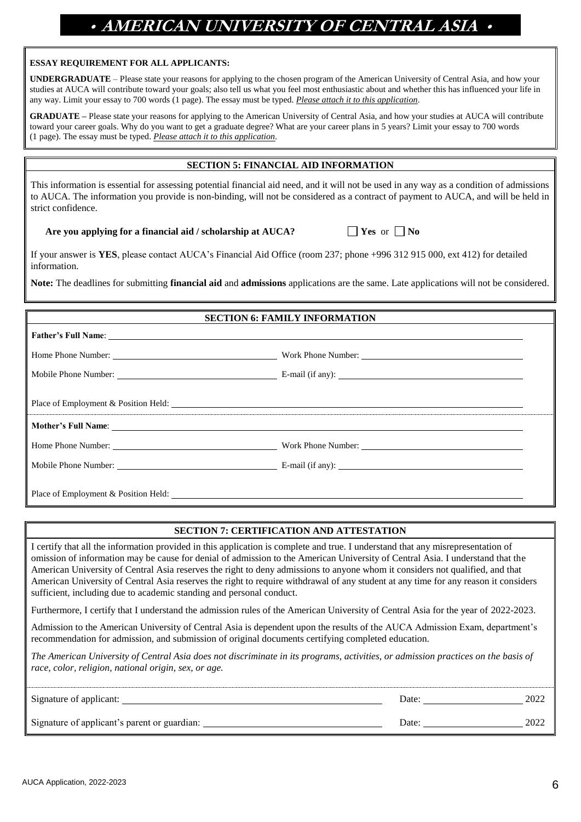#### **ESSAY REQUIREMENT FOR ALL APPLICANTS:**

**UNDERGRADUATE** – Please state your reasons for applying to the chosen program of the American University of Central Asia, and how your studies at AUCA will contribute toward your goals; also tell us what you feel most enthusiastic about and whether this has influenced your life in any way. Limit your essay to 700 words (1 page). The essay must be typed. *Please attach it to this application.*

**GRADUATE –** Please state your reasons for applying to the American University of Central Asia, and how your studies at AUCA will contribute toward your career goals. Why do you want to get a graduate degree? What are your career plans in 5 years? Limit your essay to 700 words (1 page). The essay must be typed. *Please attach it to this application.*

### **SECTION 5: FINANCIAL AID INFORMATION**

This information is essential for assessing potential financial aid need, and it will not be used in any way as a condition of admissions to AUCA. The information you provide is non-binding, will not be considered as a contract of payment to AUCA, and will be held in strict confidence.

 **Are you applying for a financial aid / scholarship at AUCA?**  $\qquad \qquad \qquad$  **Yes** or  $\qquad \qquad$  No

If your answer is **YES**, please contact AUCA's Financial Aid Office (room 237; phone +996 312 915 000, ext 412) for detailed information.

**Note:** The deadlines for submitting **financial aid** and **admissions** applications are the same. Late applications will not be considered.

#### **SECTION 6: FAMILY INFORMATION**

|                                      | Place of Employment & Position Held: New York Changes and School and School and School and School and School and School and School and School and School and School and School and School and School and School and School and |
|--------------------------------------|--------------------------------------------------------------------------------------------------------------------------------------------------------------------------------------------------------------------------------|
|                                      |                                                                                                                                                                                                                                |
| Home Phone Number:                   |                                                                                                                                                                                                                                |
|                                      |                                                                                                                                                                                                                                |
| Place of Employment & Position Held: |                                                                                                                                                                                                                                |

### **SECTION 7: CERTIFICATION AND ATTESTATION**

I certify that all the information provided in this application is complete and true. I understand that any misrepresentation of omission of information may be cause for denial of admission to the American University of Central Asia. I understand that the American University of Central Asia reserves the right to deny admissions to anyone whom it considers not qualified, and that American University of Central Asia reserves the right to require withdrawal of any student at any time for any reason it considers sufficient, including due to academic standing and personal conduct.

Furthermore, I certify that I understand the admission rules of the American University of Central Asia for the year of 2022-2023.

Admission to the American University of Central Asia is dependent upon the results of the AUCA Admission Exam, department's recommendation for admission, and submission of original documents certifying completed education.

*The American University of Central Asia does not discriminate in its programs, activities, or admission practices on the basis of race, color, religion, national origin, sex, or age.*

| Signature of applicant:                      | Date: | 2022 |
|----------------------------------------------|-------|------|
| Signature of applicant's parent or guardian: | Date: | 2022 |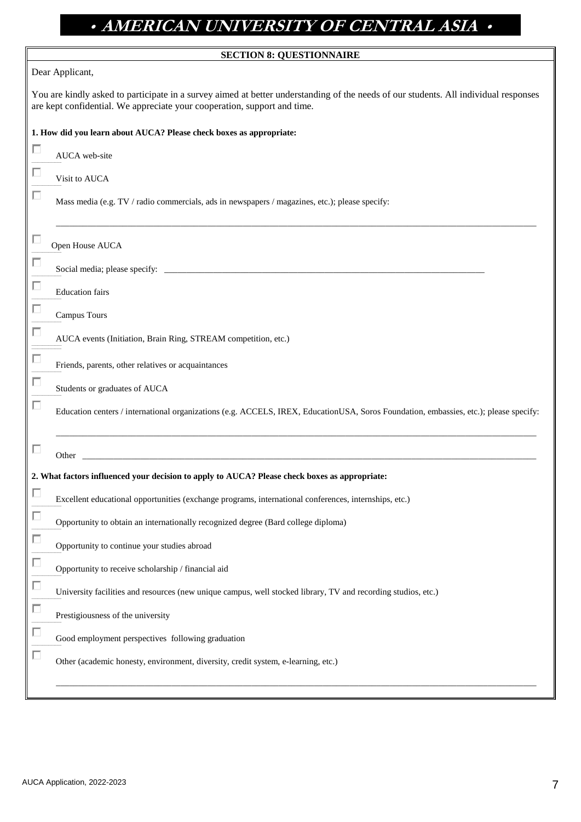| <b>SECTION 8: QUESTIONNAIRE</b>                                                                                                                                                                                  |
|------------------------------------------------------------------------------------------------------------------------------------------------------------------------------------------------------------------|
| Dear Applicant,                                                                                                                                                                                                  |
| You are kindly asked to participate in a survey aimed at better understanding of the needs of our students. All individual responses<br>are kept confidential. We appreciate your cooperation, support and time. |
| 1. How did you learn about AUCA? Please check boxes as appropriate:                                                                                                                                              |
| AUCA web-site                                                                                                                                                                                                    |
| Visit to AUCA                                                                                                                                                                                                    |
| Mass media (e.g. TV / radio commercials, ads in newspapers / magazines, etc.); please specify:                                                                                                                   |
| ш<br>Open House AUCA                                                                                                                                                                                             |
| Social media; please specify:                                                                                                                                                                                    |
| п<br><b>Education</b> fairs                                                                                                                                                                                      |
| п<br>Campus Tours                                                                                                                                                                                                |
| AUCA events (Initiation, Brain Ring, STREAM competition, etc.)                                                                                                                                                   |
| Friends, parents, other relatives or acquaintances                                                                                                                                                               |
| Students or graduates of AUCA                                                                                                                                                                                    |
| Education centers / international organizations (e.g. ACCELS, IREX, EducationUSA, Soros Foundation, embassies, etc.); please specify:                                                                            |
| <u> 1980 - Jan Barnett, fransk politiker (d. 1980)</u><br>Other                                                                                                                                                  |
| 2. What factors influenced your decision to apply to AUCA? Please check boxes as appropriate:                                                                                                                    |
| Excellent educational opportunities (exchange programs, international conferences, internships, etc.)                                                                                                            |
| п<br>Opportunity to obtain an internationally recognized degree (Bard college diploma)                                                                                                                           |
| п<br>Opportunity to continue your studies abroad                                                                                                                                                                 |
| п<br>Opportunity to receive scholarship / financial aid                                                                                                                                                          |
| п<br>University facilities and resources (new unique campus, well stocked library, TV and recording studios, etc.)                                                                                               |
| п<br>Prestigiousness of the university                                                                                                                                                                           |
| п<br>Good employment perspectives following graduation                                                                                                                                                           |
| П<br>Other (academic honesty, environment, diversity, credit system, e-learning, etc.)                                                                                                                           |
|                                                                                                                                                                                                                  |